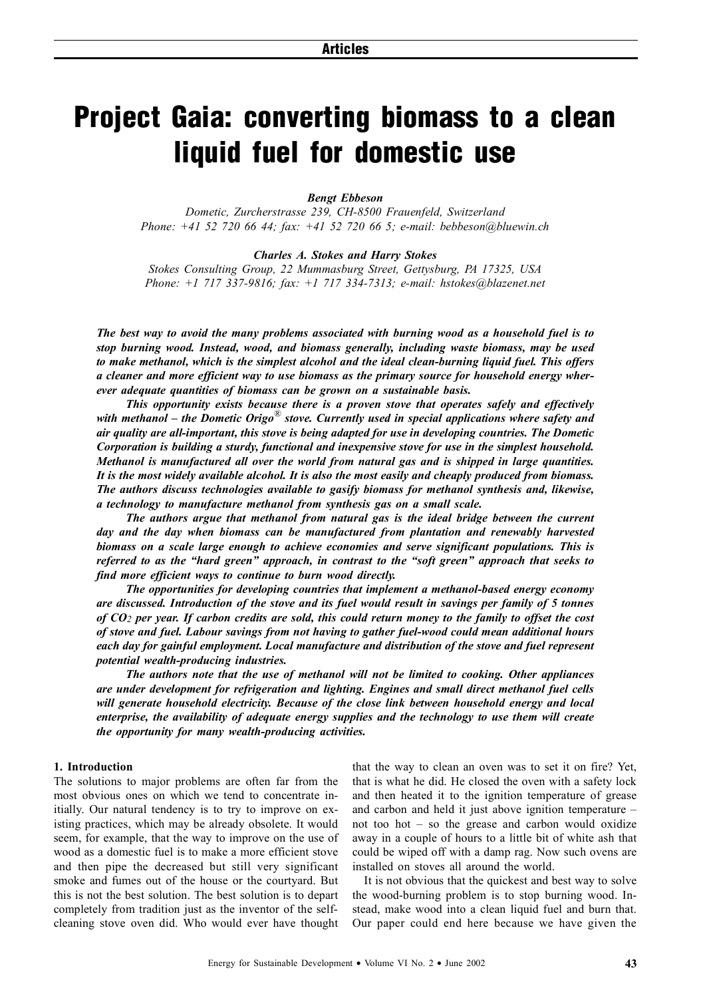# Project Gaia: converting biomass to a clean liquid fuel for domestic use

*Bengt Ebbeson*

*Dometic, Zurcherstrasse 239, CH-8500 Frauenfeld, Switzerland Phone: +41 52 720 66 44; fax: +41 52 720 66 5; e-mail: bebbeson@bluewin.ch*

## *Charles A. Stokes and Harry Stokes*

*Stokes Consulting Group, 22 Mummasburg Street, Gettysburg, PA 17325, USA Phone: +1 717 337-9816; fax: +1 717 334-7313; e-mail: hstokes@blazenet.net*

*The best way to avoid the many problems associated with burning wood as a household fuel is to stop burning wood. Instead, wood, and biomass generally, including waste biomass, may be used to make methanol, which is the simplest alcohol and the ideal clean-burning liquid fuel. This offers a cleaner and more efficient way to use biomass as the primary source for household energy wherever adequate quantities of biomass can be grown on a sustainable basis.*

 *This opportunity exists because there is a proven stove that operates safely and effectively with methanol – the Dometic Origo® stove. Currently used in special applications where safety and air quality are all-important, this stove is being adapted for use in developing countries. The Dometic Corporation is building a sturdy, functional and inexpensive stove for use in the simplest household. Methanol is manufactured all over the world from natural gas and is shipped in large quantities. It is the most widely available alcohol. It is also the most easily and cheaply produced from biomass. The authors discuss technologies available to gasify biomass for methanol synthesis and, likewise, a technology to manufacture methanol from synthesis gas on a small scale.*

 *The authors argue that methanol from natural gas is the ideal bridge between the current day and the day when biomass can be manufactured from plantation and renewably harvested biomass on a scale large enough to achieve economies and serve significant populations. This is referred to as the "hard green" approach, in contrast to the "soft green" approach that seeks to find more efficient ways to continue to burn wood directly.*

 *The opportunities for developing countries that implement a methanol-based energy economy are discussed. Introduction of the stove and its fuel would result in savings per family of 5 tonnes of CO2 per year. If carbon credits are sold, this could return money to the family to offset the cost of stove and fuel. Labour savings from not having to gather fuel-wood could mean additional hours each day for gainful employment. Local manufacture and distribution of the stove and fuel represent potential wealth-producing industries.*

 *The authors note that the use of methanol will not be limited to cooking. Other appliances are under development for refrigeration and lighting. Engines and small direct methanol fuel cells will generate household electricity. Because of the close link between household energy and local enterprise, the availability of adequate energy supplies and the technology to use them will create the opportunity for many wealth-producing activities.*

## **1. Introduction**

The solutions to major problems are often far from the most obvious ones on which we tend to concentrate initially. Our natural tendency is to try to improve on existing practices, which may be already obsolete. It would seem, for example, that the way to improve on the use of wood as a domestic fuel is to make a more efficient stove and then pipe the decreased but still very significant smoke and fumes out of the house or the courtyard. But this is not the best solution. The best solution is to depart completely from tradition just as the inventor of the selfcleaning stove oven did. Who would ever have thought that the way to clean an oven was to set it on fire? Yet, that is what he did. He closed the oven with a safety lock and then heated it to the ignition temperature of grease and carbon and held it just above ignition temperature – not too hot – so the grease and carbon would oxidize away in a couple of hours to a little bit of white ash that could be wiped off with a damp rag. Now such ovens are installed on stoves all around the world.

It is not obvious that the quickest and best way to solve the wood-burning problem is to stop burning wood. Instead, make wood into a clean liquid fuel and burn that. Our paper could end here because we have given the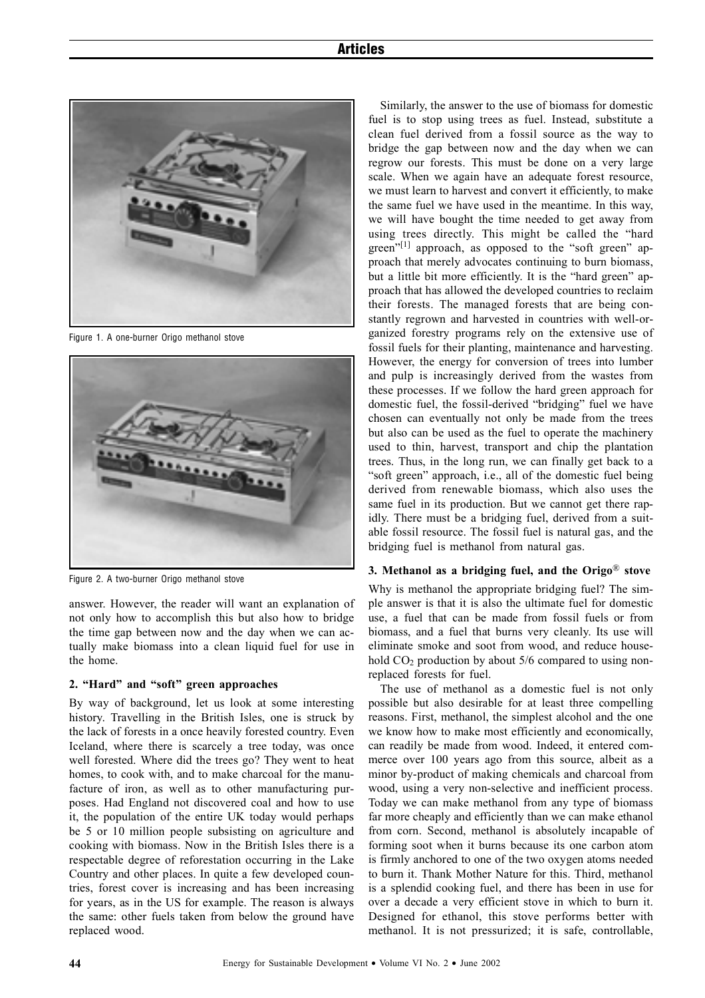

Figure 1. A one-burner Origo methanol stove



Figure 2. A two-burner Origo methanol stove

answer. However, the reader will want an explanation of not only how to accomplish this but also how to bridge the time gap between now and the day when we can actually make biomass into a clean liquid fuel for use in the home.

## **2. "Hard" and "soft" green approaches**

By way of background, let us look at some interesting history. Travelling in the British Isles, one is struck by the lack of forests in a once heavily forested country. Even Iceland, where there is scarcely a tree today, was once well forested. Where did the trees go? They went to heat homes, to cook with, and to make charcoal for the manufacture of iron, as well as to other manufacturing purposes. Had England not discovered coal and how to use it, the population of the entire UK today would perhaps be 5 or 10 million people subsisting on agriculture and cooking with biomass. Now in the British Isles there is a respectable degree of reforestation occurring in the Lake Country and other places. In quite a few developed countries, forest cover is increasing and has been increasing for years, as in the US for example. The reason is always the same: other fuels taken from below the ground have replaced wood.

Similarly, the answer to the use of biomass for domestic fuel is to stop using trees as fuel. Instead, substitute a clean fuel derived from a fossil source as the way to bridge the gap between now and the day when we can regrow our forests. This must be done on a very large scale. When we again have an adequate forest resource, we must learn to harvest and convert it efficiently, to make the same fuel we have used in the meantime. In this way, we will have bought the time needed to get away from using trees directly. This might be called the "hard  $green$ <sup>"[1]</sup> approach, as opposed to the "soft green" approach that merely advocates continuing to burn biomass, but a little bit more efficiently. It is the "hard green" approach that has allowed the developed countries to reclaim their forests. The managed forests that are being constantly regrown and harvested in countries with well-organized forestry programs rely on the extensive use of fossil fuels for their planting, maintenance and harvesting. However, the energy for conversion of trees into lumber and pulp is increasingly derived from the wastes from these processes. If we follow the hard green approach for domestic fuel, the fossil-derived "bridging" fuel we have chosen can eventually not only be made from the trees but also can be used as the fuel to operate the machinery used to thin, harvest, transport and chip the plantation trees. Thus, in the long run, we can finally get back to a "soft green" approach, i.e., all of the domestic fuel being derived from renewable biomass, which also uses the same fuel in its production. But we cannot get there rapidly. There must be a bridging fuel, derived from a suitable fossil resource. The fossil fuel is natural gas, and the bridging fuel is methanol from natural gas.

## **3. Methanol as a bridging fuel, and the Origo**® **stove**

Why is methanol the appropriate bridging fuel? The simple answer is that it is also the ultimate fuel for domestic use, a fuel that can be made from fossil fuels or from biomass, and a fuel that burns very cleanly. Its use will eliminate smoke and soot from wood, and reduce household  $CO<sub>2</sub>$  production by about 5/6 compared to using nonreplaced forests for fuel.

The use of methanol as a domestic fuel is not only possible but also desirable for at least three compelling reasons. First, methanol, the simplest alcohol and the one we know how to make most efficiently and economically, can readily be made from wood. Indeed, it entered commerce over 100 years ago from this source, albeit as a minor by-product of making chemicals and charcoal from wood, using a very non-selective and inefficient process. Today we can make methanol from any type of biomass far more cheaply and efficiently than we can make ethanol from corn. Second, methanol is absolutely incapable of forming soot when it burns because its one carbon atom is firmly anchored to one of the two oxygen atoms needed to burn it. Thank Mother Nature for this. Third, methanol is a splendid cooking fuel, and there has been in use for over a decade a very efficient stove in which to burn it. Designed for ethanol, this stove performs better with methanol. It is not pressurized; it is safe, controllable,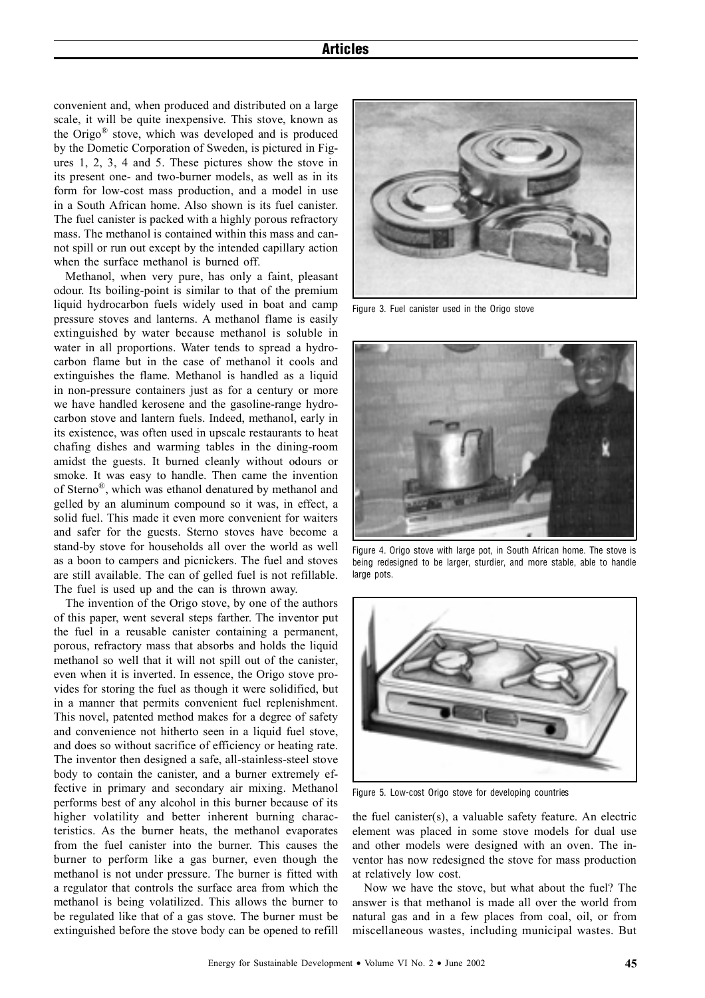convenient and, when produced and distributed on a large scale, it will be quite inexpensive. This stove, known as the Origo® stove, which was developed and is produced by the Dometic Corporation of Sweden, is pictured in Figures 1, 2, 3, 4 and 5. These pictures show the stove in its present one- and two-burner models, as well as in its form for low-cost mass production, and a model in use in a South African home. Also shown is its fuel canister. The fuel canister is packed with a highly porous refractory mass. The methanol is contained within this mass and cannot spill or run out except by the intended capillary action when the surface methanol is burned off.

Methanol, when very pure, has only a faint, pleasant odour. Its boiling-point is similar to that of the premium liquid hydrocarbon fuels widely used in boat and camp pressure stoves and lanterns. A methanol flame is easily extinguished by water because methanol is soluble in water in all proportions. Water tends to spread a hydrocarbon flame but in the case of methanol it cools and extinguishes the flame. Methanol is handled as a liquid in non-pressure containers just as for a century or more we have handled kerosene and the gasoline-range hydrocarbon stove and lantern fuels. Indeed, methanol, early in its existence, was often used in upscale restaurants to heat chafing dishes and warming tables in the dining-room amidst the guests. It burned cleanly without odours or smoke. It was easy to handle. Then came the invention of Sterno®, which was ethanol denatured by methanol and gelled by an aluminum compound so it was, in effect, a solid fuel. This made it even more convenient for waiters and safer for the guests. Sterno stoves have become a stand-by stove for households all over the world as well as a boon to campers and picnickers. The fuel and stoves are still available. The can of gelled fuel is not refillable. The fuel is used up and the can is thrown away.

The invention of the Origo stove, by one of the authors of this paper, went several steps farther. The inventor put the fuel in a reusable canister containing a permanent, porous, refractory mass that absorbs and holds the liquid methanol so well that it will not spill out of the canister, even when it is inverted. In essence, the Origo stove provides for storing the fuel as though it were solidified, but in a manner that permits convenient fuel replenishment. This novel, patented method makes for a degree of safety and convenience not hitherto seen in a liquid fuel stove, and does so without sacrifice of efficiency or heating rate. The inventor then designed a safe, all-stainless-steel stove body to contain the canister, and a burner extremely effective in primary and secondary air mixing. Methanol performs best of any alcohol in this burner because of its higher volatility and better inherent burning characteristics. As the burner heats, the methanol evaporates from the fuel canister into the burner. This causes the burner to perform like a gas burner, even though the methanol is not under pressure. The burner is fitted with a regulator that controls the surface area from which the methanol is being volatilized. This allows the burner to be regulated like that of a gas stove. The burner must be extinguished before the stove body can be opened to refill



Figure 3. Fuel canister used in the Origo stove



Figure 4. Origo stove with large pot, in South African home. The stove is being redesigned to be larger, sturdier, and more stable, able to handle large pots.



Figure 5. Low-cost Origo stove for developing countries

the fuel canister(s), a valuable safety feature. An electric element was placed in some stove models for dual use and other models were designed with an oven. The inventor has now redesigned the stove for mass production at relatively low cost.

Now we have the stove, but what about the fuel? The answer is that methanol is made all over the world from natural gas and in a few places from coal, oil, or from miscellaneous wastes, including municipal wastes. But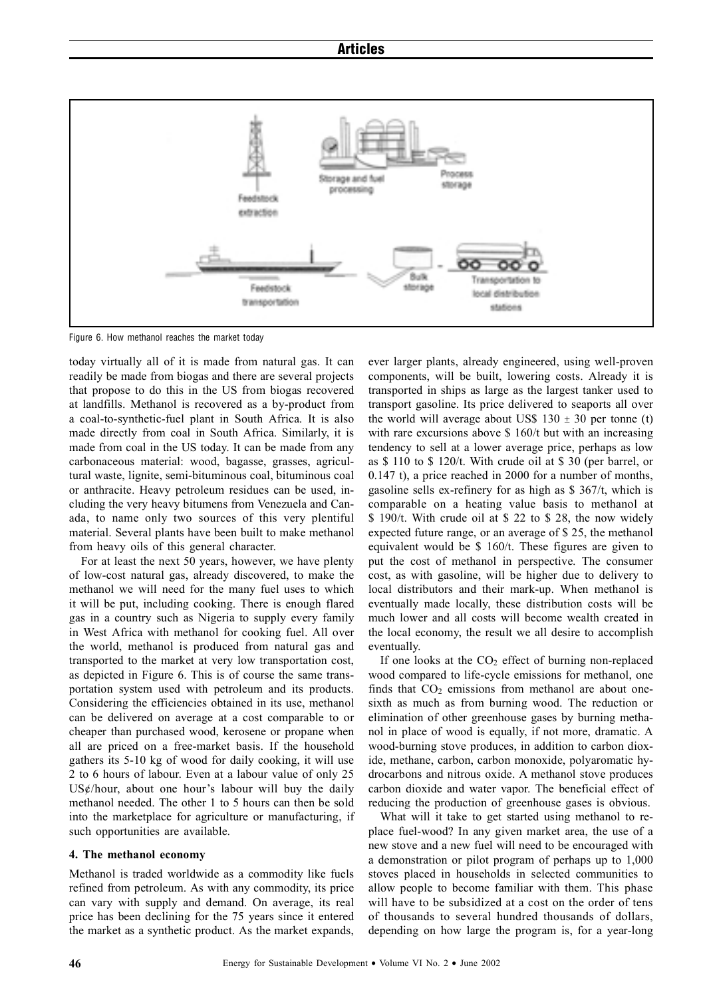

Figure 6. How methanol reaches the market today

today virtually all of it is made from natural gas. It can readily be made from biogas and there are several projects that propose to do this in the US from biogas recovered at landfills. Methanol is recovered as a by-product from a coal-to-synthetic-fuel plant in South Africa. It is also made directly from coal in South Africa. Similarly, it is made from coal in the US today. It can be made from any carbonaceous material: wood, bagasse, grasses, agricultural waste, lignite, semi-bituminous coal, bituminous coal or anthracite. Heavy petroleum residues can be used, including the very heavy bitumens from Venezuela and Canada, to name only two sources of this very plentiful material. Several plants have been built to make methanol from heavy oils of this general character.

For at least the next 50 years, however, we have plenty of low-cost natural gas, already discovered, to make the methanol we will need for the many fuel uses to which it will be put, including cooking. There is enough flared gas in a country such as Nigeria to supply every family in West Africa with methanol for cooking fuel. All over the world, methanol is produced from natural gas and transported to the market at very low transportation cost, as depicted in Figure 6. This is of course the same transportation system used with petroleum and its products. Considering the efficiencies obtained in its use, methanol can be delivered on average at a cost comparable to or cheaper than purchased wood, kerosene or propane when all are priced on a free-market basis. If the household gathers its 5-10 kg of wood for daily cooking, it will use 2 to 6 hours of labour. Even at a labour value of only 25 US¢/hour, about one hour's labour will buy the daily methanol needed. The other 1 to 5 hours can then be sold into the marketplace for agriculture or manufacturing, if such opportunities are available.

## **4. The methanol economy**

Methanol is traded worldwide as a commodity like fuels refined from petroleum. As with any commodity, its price can vary with supply and demand. On average, its real price has been declining for the 75 years since it entered the market as a synthetic product. As the market expands,

ever larger plants, already engineered, using well-proven components, will be built, lowering costs. Already it is transported in ships as large as the largest tanker used to transport gasoline. Its price delivered to seaports all over the world will average about US\$  $130 \pm 30$  per tonne (t) with rare excursions above \$ 160/t but with an increasing tendency to sell at a lower average price, perhaps as low as \$ 110 to \$ 120/t. With crude oil at \$ 30 (per barrel, or 0.147 t), a price reached in 2000 for a number of months, gasoline sells ex-refinery for as high as \$ 367/t, which is comparable on a heating value basis to methanol at \$ 190/t. With crude oil at \$ 22 to \$ 28, the now widely expected future range, or an average of \$ 25, the methanol equivalent would be \$ 160/t. These figures are given to put the cost of methanol in perspective. The consumer cost, as with gasoline, will be higher due to delivery to local distributors and their mark-up. When methanol is eventually made locally, these distribution costs will be much lower and all costs will become wealth created in the local economy, the result we all desire to accomplish eventually.

If one looks at the  $CO<sub>2</sub>$  effect of burning non-replaced wood compared to life-cycle emissions for methanol, one finds that  $CO<sub>2</sub>$  emissions from methanol are about onesixth as much as from burning wood. The reduction or elimination of other greenhouse gases by burning methanol in place of wood is equally, if not more, dramatic. A wood-burning stove produces, in addition to carbon dioxide, methane, carbon, carbon monoxide, polyaromatic hydrocarbons and nitrous oxide. A methanol stove produces carbon dioxide and water vapor. The beneficial effect of reducing the production of greenhouse gases is obvious.

What will it take to get started using methanol to replace fuel-wood? In any given market area, the use of a new stove and a new fuel will need to be encouraged with a demonstration or pilot program of perhaps up to 1,000 stoves placed in households in selected communities to allow people to become familiar with them. This phase will have to be subsidized at a cost on the order of tens of thousands to several hundred thousands of dollars, depending on how large the program is, for a year-long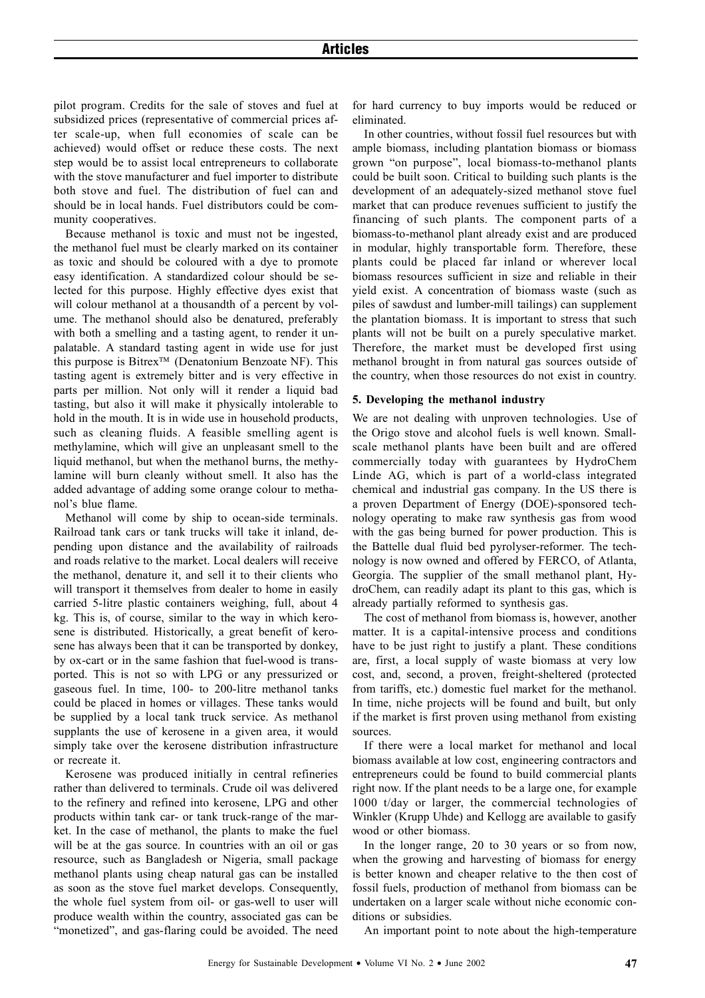pilot program. Credits for the sale of stoves and fuel at subsidized prices (representative of commercial prices after scale-up, when full economies of scale can be achieved) would offset or reduce these costs. The next step would be to assist local entrepreneurs to collaborate with the stove manufacturer and fuel importer to distribute both stove and fuel. The distribution of fuel can and should be in local hands. Fuel distributors could be community cooperatives.

Because methanol is toxic and must not be ingested, the methanol fuel must be clearly marked on its container as toxic and should be coloured with a dye to promote easy identification. A standardized colour should be selected for this purpose. Highly effective dyes exist that will colour methanol at a thousandth of a percent by volume. The methanol should also be denatured, preferably with both a smelling and a tasting agent, to render it unpalatable. A standard tasting agent in wide use for just this purpose is Bitrex<sup>TM</sup> (Denatonium Benzoate NF). This tasting agent is extremely bitter and is very effective in parts per million. Not only will it render a liquid bad tasting, but also it will make it physically intolerable to hold in the mouth. It is in wide use in household products, such as cleaning fluids. A feasible smelling agent is methylamine, which will give an unpleasant smell to the liquid methanol, but when the methanol burns, the methylamine will burn cleanly without smell. It also has the added advantage of adding some orange colour to methanol's blue flame.

Methanol will come by ship to ocean-side terminals. Railroad tank cars or tank trucks will take it inland, depending upon distance and the availability of railroads and roads relative to the market. Local dealers will receive the methanol, denature it, and sell it to their clients who will transport it themselves from dealer to home in easily carried 5-litre plastic containers weighing, full, about 4 kg. This is, of course, similar to the way in which kerosene is distributed. Historically, a great benefit of kerosene has always been that it can be transported by donkey, by ox-cart or in the same fashion that fuel-wood is transported. This is not so with LPG or any pressurized or gaseous fuel. In time, 100- to 200-litre methanol tanks could be placed in homes or villages. These tanks would be supplied by a local tank truck service. As methanol supplants the use of kerosene in a given area, it would simply take over the kerosene distribution infrastructure or recreate it.

Kerosene was produced initially in central refineries rather than delivered to terminals. Crude oil was delivered to the refinery and refined into kerosene, LPG and other products within tank car- or tank truck-range of the market. In the case of methanol, the plants to make the fuel will be at the gas source. In countries with an oil or gas resource, such as Bangladesh or Nigeria, small package methanol plants using cheap natural gas can be installed as soon as the stove fuel market develops. Consequently, the whole fuel system from oil- or gas-well to user will produce wealth within the country, associated gas can be "monetized", and gas-flaring could be avoided. The need for hard currency to buy imports would be reduced or eliminated.

In other countries, without fossil fuel resources but with ample biomass, including plantation biomass or biomass grown "on purpose", local biomass-to-methanol plants could be built soon. Critical to building such plants is the development of an adequately-sized methanol stove fuel market that can produce revenues sufficient to justify the financing of such plants. The component parts of a biomass-to-methanol plant already exist and are produced in modular, highly transportable form. Therefore, these plants could be placed far inland or wherever local biomass resources sufficient in size and reliable in their yield exist. A concentration of biomass waste (such as piles of sawdust and lumber-mill tailings) can supplement the plantation biomass. It is important to stress that such plants will not be built on a purely speculative market. Therefore, the market must be developed first using methanol brought in from natural gas sources outside of the country, when those resources do not exist in country.

#### **5. Developing the methanol industry**

We are not dealing with unproven technologies. Use of the Origo stove and alcohol fuels is well known. Smallscale methanol plants have been built and are offered commercially today with guarantees by HydroChem Linde AG, which is part of a world-class integrated chemical and industrial gas company. In the US there is a proven Department of Energy (DOE)-sponsored technology operating to make raw synthesis gas from wood with the gas being burned for power production. This is the Battelle dual fluid bed pyrolyser-reformer. The technology is now owned and offered by FERCO, of Atlanta, Georgia. The supplier of the small methanol plant, HydroChem, can readily adapt its plant to this gas, which is already partially reformed to synthesis gas.

The cost of methanol from biomass is, however, another matter. It is a capital-intensive process and conditions have to be just right to justify a plant. These conditions are, first, a local supply of waste biomass at very low cost, and, second, a proven, freight-sheltered (protected from tariffs, etc.) domestic fuel market for the methanol. In time, niche projects will be found and built, but only if the market is first proven using methanol from existing sources.

If there were a local market for methanol and local biomass available at low cost, engineering contractors and entrepreneurs could be found to build commercial plants right now. If the plant needs to be a large one, for example 1000 t/day or larger, the commercial technologies of Winkler (Krupp Uhde) and Kellogg are available to gasify wood or other biomass.

In the longer range, 20 to 30 years or so from now, when the growing and harvesting of biomass for energy is better known and cheaper relative to the then cost of fossil fuels, production of methanol from biomass can be undertaken on a larger scale without niche economic conditions or subsidies.

An important point to note about the high-temperature